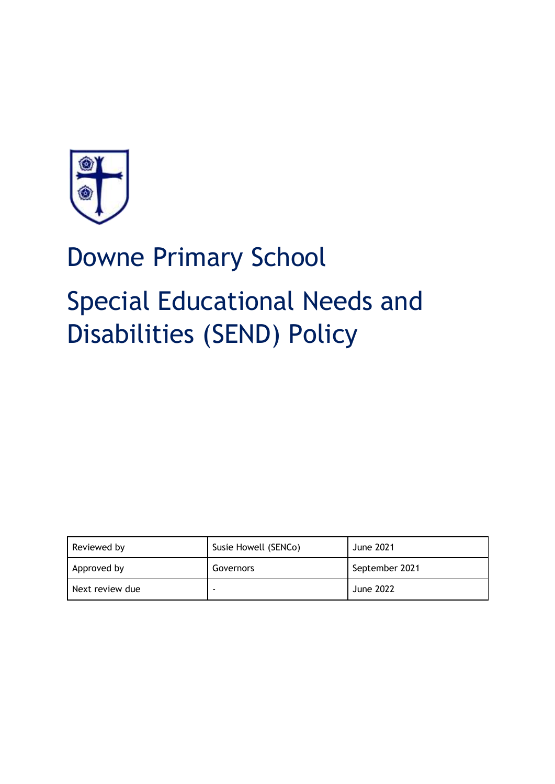

# Downe Primary School Special Educational Needs and Disabilities (SEND) Policy

| Reviewed by     | Susie Howell (SENCo) | <b>June 2021</b> |
|-----------------|----------------------|------------------|
| Approved by     | Governors            | September 2021   |
| Next review due |                      | June 2022        |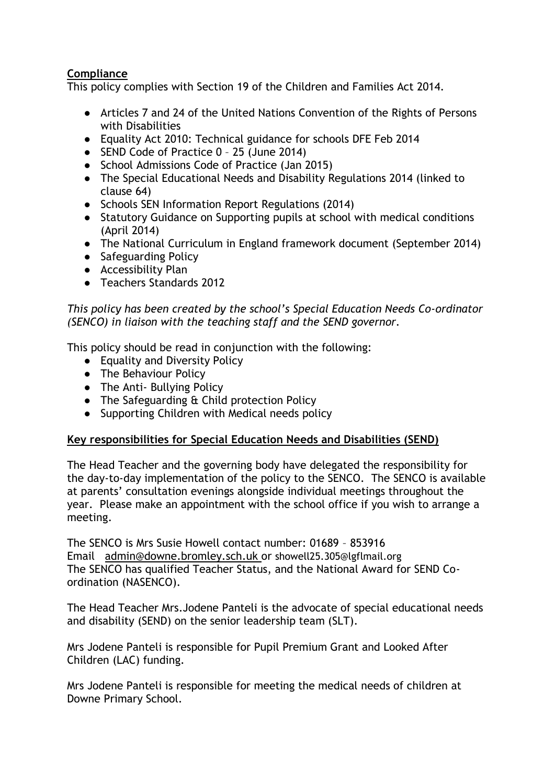# **Compliance**

This policy complies with Section 19 of the Children and Families Act 2014.

- Articles 7 and 24 of the United Nations Convention of the Rights of Persons with Disabilities
- Equality Act 2010: Technical guidance for schools DFE Feb 2014
- SEND Code of Practice 0 25 (June 2014)
- School Admissions Code of Practice (Jan 2015)
- The Special Educational Needs and Disability Regulations 2014 (linked to clause 64)
- Schools SEN Information Report Regulations (2014)
- Statutory Guidance on Supporting pupils at school with medical conditions (April 2014)
- The National Curriculum in England framework document (September 2014)
- Safeguarding Policy
- Accessibility Plan
- Teachers Standards 2012

*This policy has been created by the school's Special Education Needs Co-ordinator (SENCO) in liaison with the teaching staff and the SEND governor.* 

This policy should be read in conjunction with the following:

- Equality and Diversity Policy
- The Behaviour Policy
- The Anti- Bullying Policy
- The Safeguarding & Child protection Policy
- Supporting Children with Medical needs policy

# **Key responsibilities for Special Education Needs and Disabilities (SEND)**

The Head Teacher and the governing body have delegated the responsibility for the day-to-day implementation of the policy to the SENCO. The SENCO is available at parents' consultation evenings alongside individual meetings throughout the year. Please make an appointment with the school office if you wish to arrange a meeting.

The SENCO is Mrs Susie Howell contact number: 01689 – 853916 Email [admin@downe.bromley.sch.uk](mailto:admin@downe.bromley.sch.uk) or showell25.305@lgflmail.org The SENCO has qualified Teacher Status, and the National Award for SEND Coordination (NASENCO).

The Head Teacher Mrs.Jodene Panteli is the advocate of special educational needs and disability (SEND) on the senior leadership team (SLT).

Mrs Jodene Panteli is responsible for Pupil Premium Grant and Looked After Children (LAC) funding.

Mrs Jodene Panteli is responsible for meeting the medical needs of children at Downe Primary School.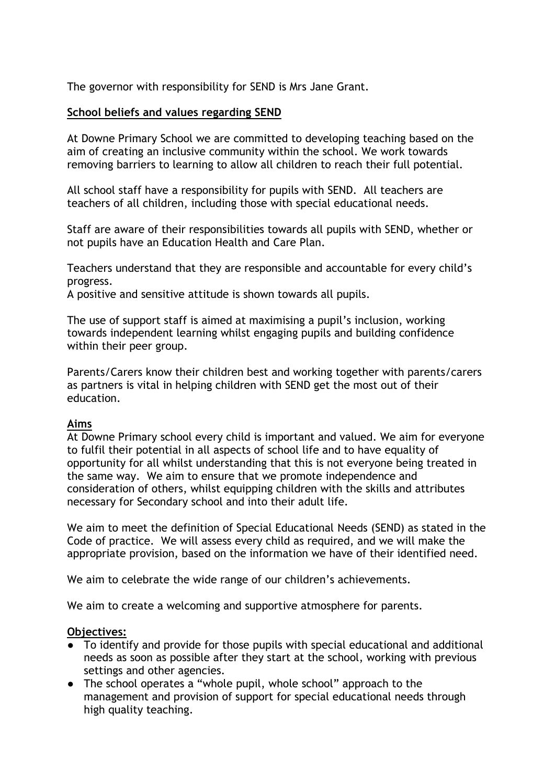The governor with responsibility for SEND is Mrs Jane Grant.

## **School beliefs and values regarding SEND**

At Downe Primary School we are committed to developing teaching based on the aim of creating an inclusive community within the school. We work towards removing barriers to learning to allow all children to reach their full potential.

All school staff have a responsibility for pupils with SEND. All teachers are teachers of all children, including those with special educational needs.

Staff are aware of their responsibilities towards all pupils with SEND, whether or not pupils have an Education Health and Care Plan.

Teachers understand that they are responsible and accountable for every child's progress.

A positive and sensitive attitude is shown towards all pupils.

The use of support staff is aimed at maximising a pupil's inclusion, working towards independent learning whilst engaging pupils and building confidence within their peer group.

Parents/Carers know their children best and working together with parents/carers as partners is vital in helping children with SEND get the most out of their education.

## **Aims**

At Downe Primary school every child is important and valued. We aim for everyone to fulfil their potential in all aspects of school life and to have equality of opportunity for all whilst understanding that this is not everyone being treated in the same way. We aim to ensure that we promote independence and consideration of others, whilst equipping children with the skills and attributes necessary for Secondary school and into their adult life.

We aim to meet the definition of Special Educational Needs (SEND) as stated in the Code of practice. We will assess every child as required, and we will make the appropriate provision, based on the information we have of their identified need.

We aim to celebrate the wide range of our children's achievements.

We aim to create a welcoming and supportive atmosphere for parents.

## **Objectives:**

- To identify and provide for those pupils with special educational and additional needs as soon as possible after they start at the school, working with previous settings and other agencies.
- The school operates a "whole pupil, whole school" approach to the management and provision of support for special educational needs through high quality teaching.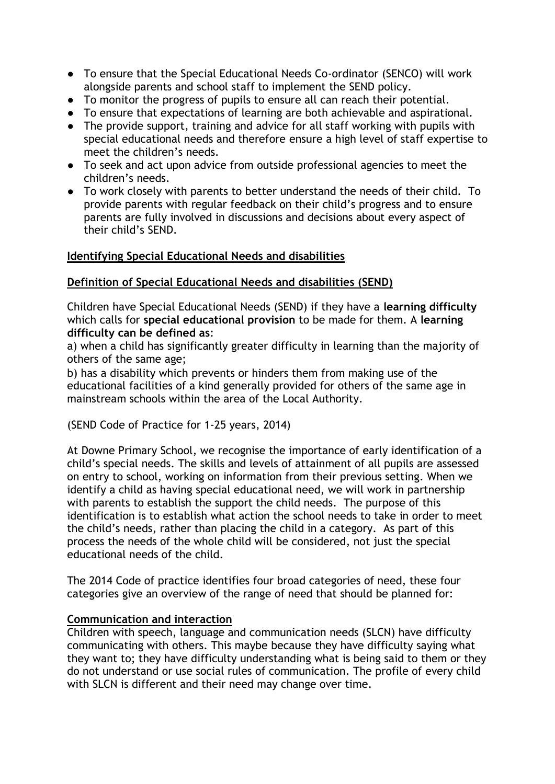- To ensure that the Special Educational Needs Co-ordinator (SENCO) will work alongside parents and school staff to implement the SEND policy.
- To monitor the progress of pupils to ensure all can reach their potential.
- To ensure that expectations of learning are both achievable and aspirational.
- The provide support, training and advice for all staff working with pupils with special educational needs and therefore ensure a high level of staff expertise to meet the children's needs.
- To seek and act upon advice from outside professional agencies to meet the children's needs.
- To work closely with parents to better understand the needs of their child. To provide parents with regular feedback on their child's progress and to ensure parents are fully involved in discussions and decisions about every aspect of their child's SEND.

## **Identifying Special Educational Needs and disabilities**

## **Definition of Special Educational Needs and disabilities (SEND)**

Children have Special Educational Needs (SEND) if they have a **learning difficulty**  which calls for **special educational provision** to be made for them. A **learning difficulty can be defined as**:

a) when a child has significantly greater difficulty in learning than the majority of others of the same age;

b) has a disability which prevents or hinders them from making use of the educational facilities of a kind generally provided for others of the same age in mainstream schools within the area of the Local Authority.

(SEND Code of Practice for 1-25 years, 2014)

At Downe Primary School, we recognise the importance of early identification of a child's special needs. The skills and levels of attainment of all pupils are assessed on entry to school, working on information from their previous setting. When we identify a child as having special educational need, we will work in partnership with parents to establish the support the child needs. The purpose of this identification is to establish what action the school needs to take in order to meet the child's needs, rather than placing the child in a category. As part of this process the needs of the whole child will be considered, not just the special educational needs of the child.

The 2014 Code of practice identifies four broad categories of need, these four categories give an overview of the range of need that should be planned for:

## **Communication and interaction**

Children with speech, language and communication needs (SLCN) have difficulty communicating with others. This maybe because they have difficulty saying what they want to; they have difficulty understanding what is being said to them or they do not understand or use social rules of communication. The profile of every child with SLCN is different and their need may change over time.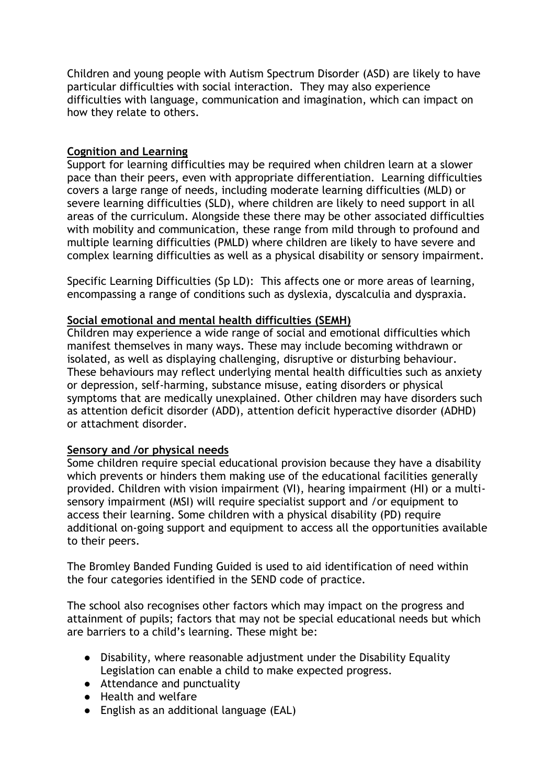Children and young people with Autism Spectrum Disorder (ASD) are likely to have particular difficulties with social interaction. They may also experience difficulties with language, communication and imagination, which can impact on how they relate to others.

#### **Cognition and Learning**

Support for learning difficulties may be required when children learn at a slower pace than their peers, even with appropriate differentiation. Learning difficulties covers a large range of needs, including moderate learning difficulties (MLD) or severe learning difficulties (SLD), where children are likely to need support in all areas of the curriculum. Alongside these there may be other associated difficulties with mobility and communication, these range from mild through to profound and multiple learning difficulties (PMLD) where children are likely to have severe and complex learning difficulties as well as a physical disability or sensory impairment.

Specific Learning Difficulties (Sp LD): This affects one or more areas of learning, encompassing a range of conditions such as dyslexia, dyscalculia and dyspraxia.

#### **Social emotional and mental health difficulties (SEMH)**

Children may experience a wide range of social and emotional difficulties which manifest themselves in many ways. These may include becoming withdrawn or isolated, as well as displaying challenging, disruptive or disturbing behaviour. These behaviours may reflect underlying mental health difficulties such as anxiety or depression, self-harming, substance misuse, eating disorders or physical symptoms that are medically unexplained. Other children may have disorders such as attention deficit disorder (ADD), attention deficit hyperactive disorder (ADHD) or attachment disorder.

## **Sensory and /or physical needs**

Some children require special educational provision because they have a disability which prevents or hinders them making use of the educational facilities generally provided. Children with vision impairment (VI), hearing impairment (HI) or a multisensory impairment (MSI) will require specialist support and /or equipment to access their learning. Some children with a physical disability (PD) require additional on-going support and equipment to access all the opportunities available to their peers.

The Bromley Banded Funding Guided is used to aid identification of need within the four categories identified in the SEND code of practice.

The school also recognises other factors which may impact on the progress and attainment of pupils; factors that may not be special educational needs but which are barriers to a child's learning. These might be:

- Disability, where reasonable adjustment under the Disability Equality Legislation can enable a child to make expected progress.
- Attendance and punctuality
- Health and welfare
- English as an additional language (EAL)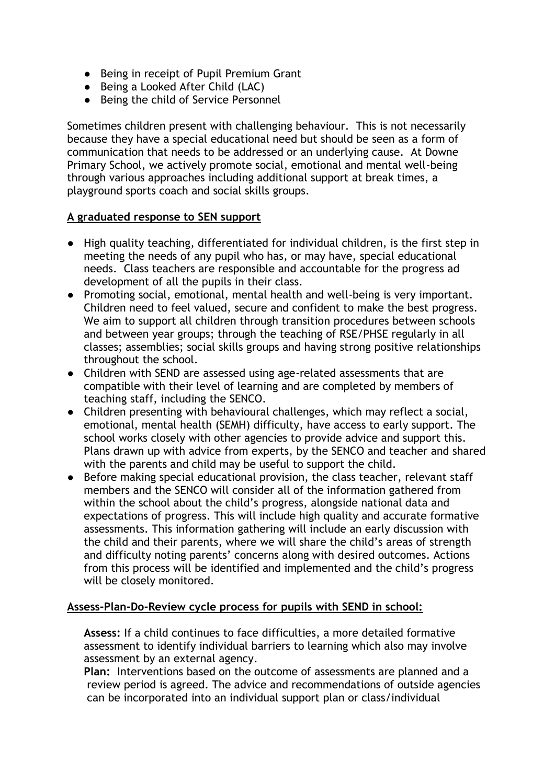- Being in receipt of Pupil Premium Grant
- Being a Looked After Child (LAC)
- Being the child of Service Personnel

Sometimes children present with challenging behaviour. This is not necessarily because they have a special educational need but should be seen as a form of communication that needs to be addressed or an underlying cause. At Downe Primary School, we actively promote social, emotional and mental well-being through various approaches including additional support at break times, a playground sports coach and social skills groups.

# **A graduated response to SEN support**

- High quality teaching, differentiated for individual children, is the first step in meeting the needs of any pupil who has, or may have, special educational needs. Class teachers are responsible and accountable for the progress ad development of all the pupils in their class.
- Promoting social, emotional, mental health and well-being is very important. Children need to feel valued, secure and confident to make the best progress. We aim to support all children through transition procedures between schools and between year groups; through the teaching of RSE/PHSE regularly in all classes; assemblies; social skills groups and having strong positive relationships throughout the school.
- Children with SEND are assessed using age-related assessments that are compatible with their level of learning and are completed by members of teaching staff, including the SENCO.
- Children presenting with behavioural challenges, which may reflect a social, emotional, mental health (SEMH) difficulty, have access to early support. The school works closely with other agencies to provide advice and support this. Plans drawn up with advice from experts, by the SENCO and teacher and shared with the parents and child may be useful to support the child.
- Before making special educational provision, the class teacher, relevant staff members and the SENCO will consider all of the information gathered from within the school about the child's progress, alongside national data and expectations of progress. This will include high quality and accurate formative assessments. This information gathering will include an early discussion with the child and their parents, where we will share the child's areas of strength and difficulty noting parents' concerns along with desired outcomes. Actions from this process will be identified and implemented and the child's progress will be closely monitored.

# **Assess-Plan-Do-Review cycle process for pupils with SEND in school:**

**Assess:** If a child continues to face difficulties, a more detailed formative assessment to identify individual barriers to learning which also may involve assessment by an external agency.

**Plan:** Interventions based on the outcome of assessments are planned and a review period is agreed. The advice and recommendations of outside agencies can be incorporated into an individual support plan or class/individual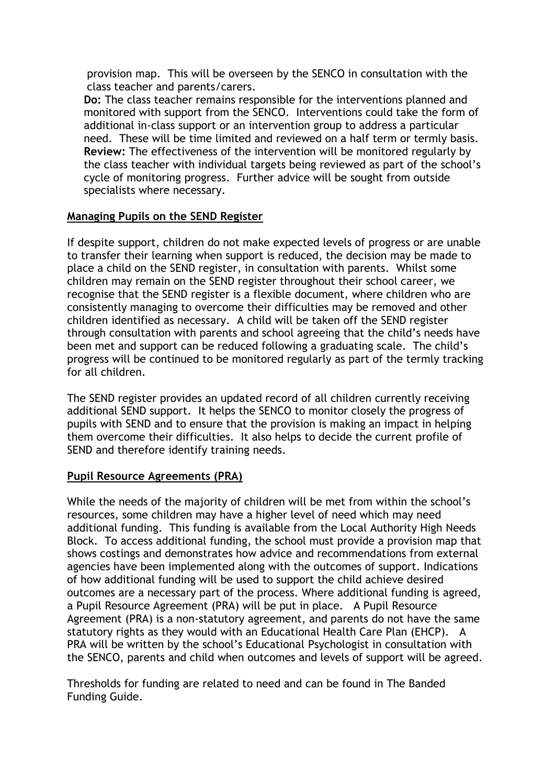provision map. This will be overseen by the SENCO in consultation with the class teacher and parents/carers.

**Do:** The class teacher remains responsible for the interventions planned and monitored with support from the SENCO. Interventions could take the form of additional in-class support or an intervention group to address a particular need. These will be time limited and reviewed on a half term or termly basis. **Review:** The effectiveness of the intervention will be monitored regularly by the class teacher with individual targets being reviewed as part of the school's cycle of monitoring progress. Further advice will be sought from outside specialists where necessary.

## **Managing Pupils on the SEND Register**

If despite support, children do not make expected levels of progress or are unable to transfer their learning when support is reduced, the decision may be made to place a child on the SEND register, in consultation with parents. Whilst some children may remain on the SEND register throughout their school career, we recognise that the SEND register is a flexible document, where children who are consistently managing to overcome their difficulties may be removed and other children identified as necessary.A child will be taken off the SEND register through consultation with parents and school agreeing that the child's needs have been met and support can be reduced following a graduating scale. The child's progress will be continued to be monitored regularly as part of the termly tracking for all children.

The SEND register provides an updated record of all children currently receiving additional SEND support. It helps the SENCO to monitor closely the progress of pupils with SEND and to ensure that the provision is making an impact in helping them overcome their difficulties. It also helps to decide the current profile of SEND and therefore identify training needs.

# **Pupil Resource Agreements (PRA)**

While the needs of the majority of children will be met from within the school's resources, some children may have a higher level of need which may need additional funding. This funding is available from the Local Authority High Needs Block. To access additional funding, the school must provide a provision map that shows costings and demonstrates how advice and recommendations from external agencies have been implemented along with the outcomes of support. Indications of how additional funding will be used to support the child achieve desired outcomes are a necessary part of the process. Where additional funding is agreed, a Pupil Resource Agreement (PRA) will be put in place. A Pupil Resource Agreement (PRA) is a non-statutory agreement, and parents do not have the same statutory rights as they would with an Educational Health Care Plan (EHCP). A PRA will be written by the school's Educational Psychologist in consultation with the SENCO, parents and child when outcomes and levels of support will be agreed.

Thresholds for funding are related to need and can be found in The Banded Funding Guide.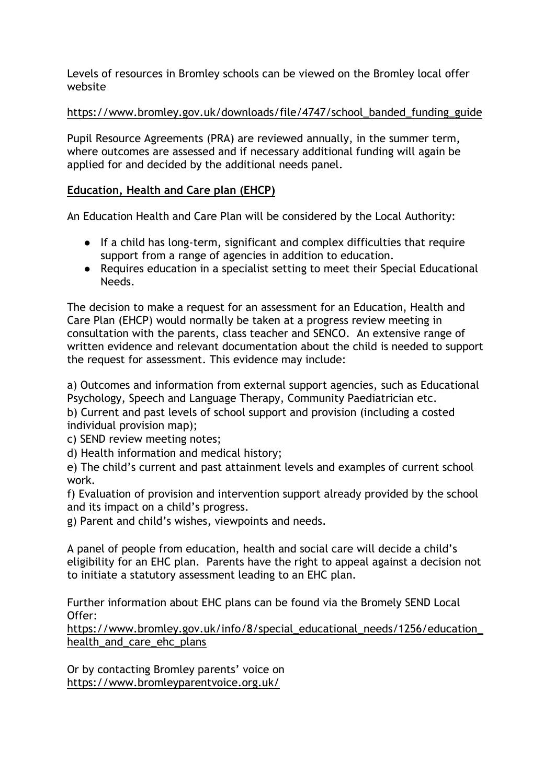Levels of resources in Bromley schools can be viewed on the Bromley local offer website

## [https://www.bromley.gov.uk/downloads/file/4747/school\\_banded\\_funding\\_guide](https://www.bromley.gov.uk/downloads/file/4747/school_banded_funding_guide)

Pupil Resource Agreements (PRA) are reviewed annually, in the summer term, where outcomes are assessed and if necessary additional funding will again be applied for and decided by the additional needs panel.

# **Education, Health and Care plan (EHCP)**

An Education Health and Care Plan will be considered by the Local Authority:

- If a child has long-term, significant and complex difficulties that require support from a range of agencies in addition to education.
- Requires education in a specialist setting to meet their Special Educational Needs.

The decision to make a request for an assessment for an Education, Health and Care Plan (EHCP) would normally be taken at a progress review meeting in consultation with the parents, class teacher and SENCO. An extensive range of written evidence and relevant documentation about the child is needed to support the request for assessment. This evidence may include:

a) Outcomes and information from external support agencies, such as Educational Psychology, Speech and Language Therapy, Community Paediatrician etc.

b) Current and past levels of school support and provision (including a costed individual provision map);

c) SEND review meeting notes;

d) Health information and medical history;

e) The child's current and past attainment levels and examples of current school work.

f) Evaluation of provision and intervention support already provided by the school and its impact on a child's progress.

g) Parent and child's wishes, viewpoints and needs.

A panel of people from education, health and social care will decide a child's eligibility for an EHC plan. Parents have the right to appeal against a decision not to initiate a statutory assessment leading to an EHC plan.

Further information about EHC plans can be found via the Bromely SEND Local Offer:

https://www.bromley.gov.uk/info/8/special\_educational\_needs/1256/education [health\\_and\\_care\\_ehc\\_plans](https://www.bromley.gov.uk/info/8/special_educational_needs/1256/education_health_and_care_ehc_plans)

Or by contacting Bromley parents' voice on <https://www.bromleyparentvoice.org.uk/>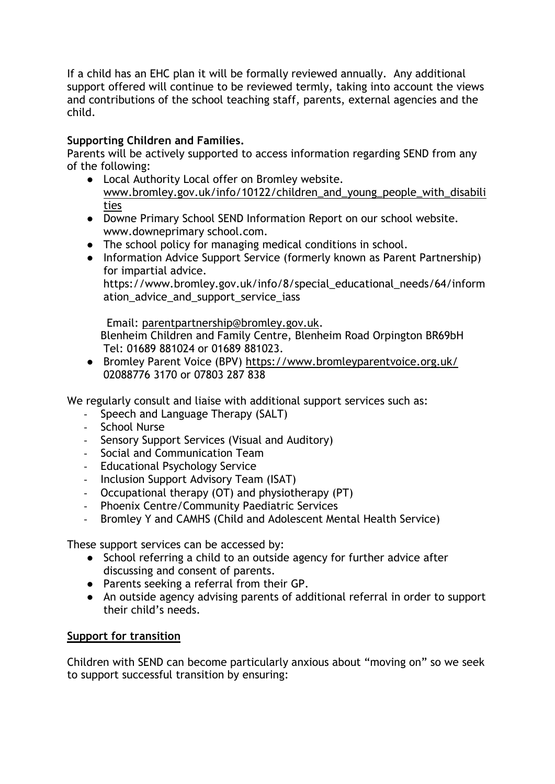If a child has an EHC plan it will be formally reviewed annually. Any additional support offered will continue to be reviewed termly, taking into account the views and contributions of the school teaching staff, parents, external agencies and the child.

# **Supporting Children and Families.**

Parents will be actively supported to access information regarding SEND from any of the following:

- Local Authority Local offer on Bromley website. [www.bromley.gov.uk/info/10122/children\\_and\\_young\\_people\\_with\\_disabili](http://www.bromley.gov.uk/info/10122/children_and_young_people_with_disabilities) [ties](http://www.bromley.gov.uk/info/10122/children_and_young_people_with_disabilities)
- Downe Primary School SEND Information Report on our school website. www.downeprimary school.com.
- The school policy for managing medical conditions in school.
- Information Advice Support Service (formerly known as Parent Partnership) for impartial advice.

https://www.bromley.gov.uk/info/8/special\_educational\_needs/64/inform ation advice and support service jass

 Email: [parentpartnership@bromley.gov.uk.](mailto:parentpartnership@bromley.gov.uk) Blenheim Children and Family Centre, Blenheim Road Orpington BR69bH Tel: 01689 881024 or 01689 881023.

● Bromley Parent Voice (BPV)<https://www.bromleyparentvoice.org.uk/> 02088776 3170 or 07803 287 838

We regularly consult and liaise with additional support services such as:

- Speech and Language Therapy (SALT)
- School Nurse
- Sensory Support Services (Visual and Auditory)
- Social and Communication Team
- Educational Psychology Service
- Inclusion Support Advisory Team (ISAT)
- Occupational therapy (OT) and physiotherapy (PT)
- Phoenix Centre/Community Paediatric Services
- Bromley Y and CAMHS (Child and Adolescent Mental Health Service)

These support services can be accessed by:

- School referring a child to an outside agency for further advice after discussing and consent of parents.
- Parents seeking a referral from their GP.
- An outside agency advising parents of additional referral in order to support their child's needs.

# **Support for transition**

Children with SEND can become particularly anxious about "moving on" so we seek to support successful transition by ensuring: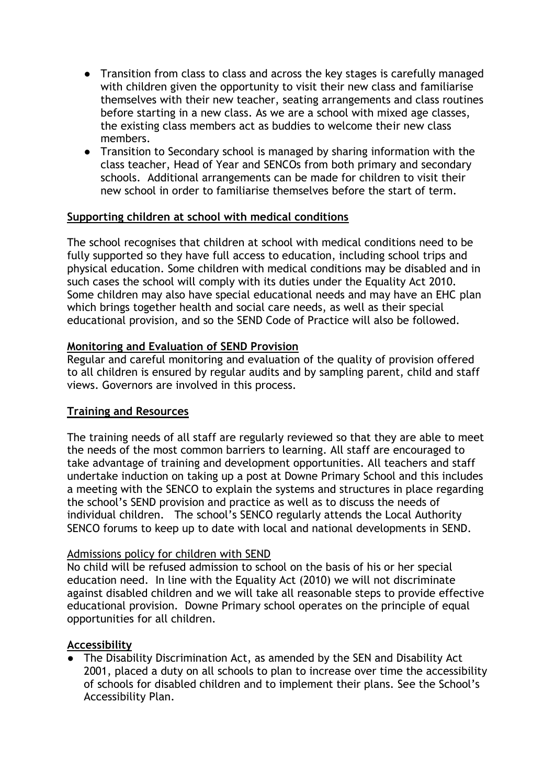- Transition from class to class and across the key stages is carefully managed with children given the opportunity to visit their new class and familiarise themselves with their new teacher, seating arrangements and class routines before starting in a new class. As we are a school with mixed age classes, the existing class members act as buddies to welcome their new class members.
- Transition to Secondary school is managed by sharing information with the class teacher, Head of Year and SENCOs from both primary and secondary schools. Additional arrangements can be made for children to visit their new school in order to familiarise themselves before the start of term.

## **Supporting children at school with medical conditions**

The school recognises that children at school with medical conditions need to be fully supported so they have full access to education, including school trips and physical education. Some children with medical conditions may be disabled and in such cases the school will comply with its duties under the Equality Act 2010. Some children may also have special educational needs and may have an EHC plan which brings together health and social care needs, as well as their special educational provision, and so the SEND Code of Practice will also be followed.

# **Monitoring and Evaluation of SEND Provision**

Regular and careful monitoring and evaluation of the quality of provision offered to all children is ensured by regular audits and by sampling parent, child and staff views. Governors are involved in this process.

# **Training and Resources**

The training needs of all staff are regularly reviewed so that they are able to meet the needs of the most common barriers to learning. All staff are encouraged to take advantage of training and development opportunities. All teachers and staff undertake induction on taking up a post at Downe Primary School and this includes a meeting with the SENCO to explain the systems and structures in place regarding the school's SEND provision and practice as well as to discuss the needs of individual children. The school's SENCO regularly attends the Local Authority SENCO forums to keep up to date with local and national developments in SEND.

## Admissions policy for children with SEND

No child will be refused admission to school on the basis of his or her special education need. In line with the Equality Act (2010) we will not discriminate against disabled children and we will take all reasonable steps to provide effective educational provision. Downe Primary school operates on the principle of equal opportunities for all children.

## **Accessibility**

● The Disability Discrimination Act, as amended by the SEN and Disability Act 2001, placed a duty on all schools to plan to increase over time the accessibility of schools for disabled children and to implement their plans. See the School's Accessibility Plan.